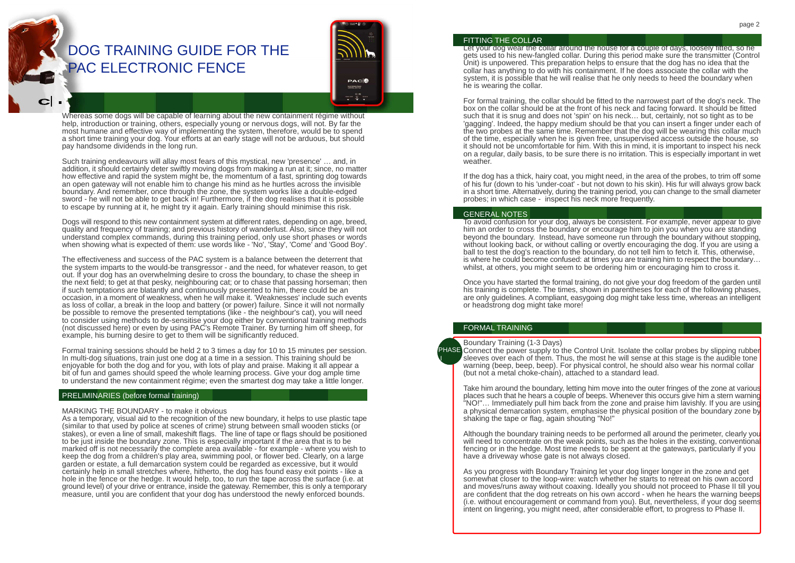# DOG TRAINING GUIDE FOR THE PAC ELECTRONIC FENCE



Whereas some dogs will be capable of learning about the new containment régime without help, introduction or training, others, especially young or nervous dogs, will not. By far the most humane and effective way of implementing the system, therefore, would be to spend a short time training your dog. Your efforts at an early stage will not be arduous, but should pay handsome dividends in the long run.

Such training endeavours will allay most fears of this mystical, new 'presence' … and, in addition, it should certainly deter swiftly moving dogs from making a run at it; since, no matter how effective and rapid the system might be, the momentum of a fast, sprinting dog towards an open gateway will not enable him to change his mind as he hurtles across the invisible boundary. And remember, once through the zone, the system works like a double-edged sword - he will not be able to get back in! Furthermore, if the dog realises that it is possible to escape by running at it, he might try it again. Early training should minimise this risk.

Dogs will respond to this new containment system at different rates, depending on age, breed, quality and frequency of training; and previous history of wanderlust. Also, since they will not understand complex commands, during this training period, only use short phases or words when showing what is expected of them: use words like - 'No', 'Stay', 'Come' and 'Good Boy'.

The effectiveness and success of the PAC system is a balance between the deterrent that the system imparts to the would-be transgressor - and the need, for whatever reason, to get out. If your dog has an overwhelming desire to cross the boundary, to chase the sheep in the next field; to get at that pesky, neighbouring cat; or to chase that passing horseman; then if such temptations are blatantly and continuously presented to him, there could be an occasion, in a moment of weakness, when he will make it. 'Weaknesses' include such events as loss of collar, a break in the loop and battery (or power) failure. Since it will not normally be possible to remove the presented temptations (like - the neighbour's cat), you will need to consider using methods to de-sensitise your dog either by conventional training methods (not discussed here) or even by using PAC's Remote Trainer. By turning him off sheep, for example, his burning desire to get to them will be significantly reduced.

Formal training sessions should be held 2 to 3 times a day for 10 to 15 minutes per session. In multi-dog situations, train just one dog at a time in a session. This training should be enjoyable for both the dog and for you, with lots of play and praise. Making it all appear a bit of fun and games should speed the whole learning process. Give your dog ample time to understand the new containment régime; even the smartest dog may take a little longer.

# PRELIMINARIES (before formal training)

#### MARKING THE BOUNDARY - to make it obvious

As a temporary, visual aid to the recognition of the new boundary, it helps to use plastic tape (similar to that used by police at scenes of crime) strung between small wooden sticks (or stakes), or even a line of small, makeshift flags. The line of tape or flags should be positioned to be just inside the boundary zone. This is especially important if the area that is to be marked off is not necessarily the complete area available - for example - where you wish to keep the dog from a children's play area, swimming pool, or flower bed. Clearly, on a large garden or estate, a full demarcation system could be regarded as excessive, but it would certainly help in small stretches where, hitherto, the dog has found easy exit points - like a hole in the fence or the hedge. It would help, too, to run the tape across the surface (i.e. at ground level) of your drive or entrance, inside the gateway. Remember, this is only a temporary measure, until you are confident that your dog has understood the newly enforced bounds.

#### FITTING THE COLLAR

Let your dog wear the collar around the house for a couple of days, loosely fitted, so he gets used to his new-fangled collar. During this period make sure the transmitter (Control Unit) is unpowered. This preparation helps to ensure that the dog has no idea that the collar has anything to do with his containment. If he does associate the collar with the system, it is possible that he will realise that he only needs to heed the boundary when he is wearing the collar.

For formal training, the collar should be fitted to the narrowest part of the dog's neck. The box on the collar should be at the front of his neck and facing forward. It should be fitted such that it is snug and does not 'spin' on his neck… but, certainly, not so tight as to be 'gagging'. Indeed, the happy medium should be that you can insert a finger under each of the two probes at the same time. Remember that the dog will be wearing this collar much of the time, especially when he is given free, unsupervised access outside the house, so it should not be uncomfortable for him. With this in mind, it is important to inspect his neck on a regular, daily basis, to be sure there is no irritation. This is especially important in wet weather.

If the dog has a thick, hairy coat, you might need, in the area of the probes, to trim off some of his fur (down to his 'under-coat' - but not down to his skin). His fur will always grow back in a short time. Alternatively, during the training period, you can change to the small diameter probes; in which case - inspect his neck more frequently.

#### GENERAL NOTES

To avoid confusion for your dog, always be consistent. For example, never appear to give him an order to cross the boundary or encourage him to join you when you are standing beyond the boundary. Instead, have someone run through the boundary without stopping, without looking back, or without calling or overtly encouraging the dog. If you are using a ball to test the dog's reaction to the boundary, do not tell him to fetch it. This, otherwise, is where he could become confused: at times you are training him to respect the boundary… whilst, at others, you might seem to be ordering him or encouraging him to cross it.

Once you have started the formal training, do not give your dog freedom of the garden until his training is complete. The times, shown in parentheses for each of the following phases, are only guidelines. A compliant, easygoing dog might take less time, whereas an intelligent or headstrong dog might take more!

# FORMAL TRAINING

I

#### Boundary Training (1-3 Days)

PHASE Connect the power supply to the Control Unit. Isolate the collar probes by slipping rubber sleeves over each of them. Thus, the most he will sense at this stage is the audible tone warning (beep, beep, beep). For physical control, he should also wear his normal collar (but not a metal choke-chain), attached to a standard lead.

Take him around the boundary, letting him move into the outer fringes of the zone at various places such that he hears a couple of beeps. Whenever this occurs give him a stern warning "NO!"… Immediately pull him back from the zone and praise him lavishly. If you are using a physical demarcation system, emphasise the physical position of the boundary zone by shaking the tape or flag, again shouting "No!"

Although the boundary training needs to be performed all around the perimeter, clearly you will need to concentrate on the weak points, such as the holes in the existing, conventional fencing or in the hedge. Most time needs to be spent at the gateways, particularly if you have a driveway whose gate is not always closed.

As you progress with Boundary Training let your dog linger longer in the zone and get somewhat closer to the loop-wire: watch whether he starts to retreat on his own accord and moves/runs away without coaxing. Ideally you should not proceed to Phase II till you are confident that the dog retreats on his own accord - when he hears the warning beeps (i.e. without encouragement or command from you). But, nevertheless, if your dog seems intent on lingering, you might need, after considerable effort, to progress to Phase II.